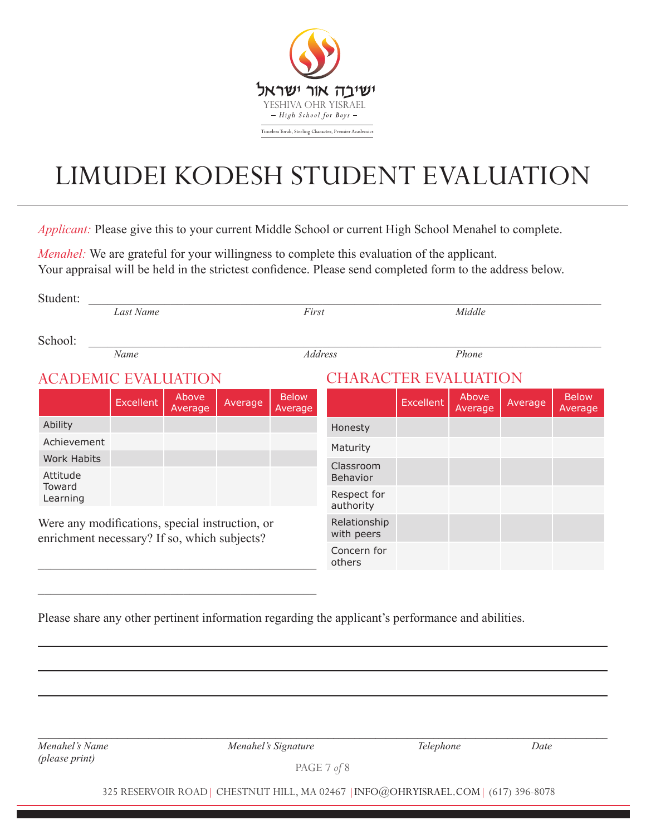

## LIMUDEI KODESH STUDENT EVALUATION

*Applicant:* Please give this to your current Middle School or current High School Menahel to complete.

*Menahel:* We are grateful for your willingness to complete this evaluation of the applicant. Your appraisal will be held in the strictest confidence. Please send completed form to the address below.

| Student:                                                                                        |                  |                  |         |                         |                             |           |                  |         |                         |  |  |
|-------------------------------------------------------------------------------------------------|------------------|------------------|---------|-------------------------|-----------------------------|-----------|------------------|---------|-------------------------|--|--|
|                                                                                                 | Last Name        |                  |         | First                   |                             | Middle    |                  |         |                         |  |  |
| School:                                                                                         | Name             |                  |         | Address                 |                             | Phone     |                  |         |                         |  |  |
| <b>ACADEMIC EVALUATION</b>                                                                      |                  |                  |         |                         | <b>CHARACTER EVALUATION</b> |           |                  |         |                         |  |  |
|                                                                                                 | <b>Excellent</b> | Above<br>Average | Average | <b>Below</b><br>Average |                             | Excellent | Above<br>Average | Average | <b>Below</b><br>Average |  |  |
| Ability                                                                                         |                  |                  |         |                         | Honesty                     |           |                  |         |                         |  |  |
| Achievement                                                                                     |                  |                  |         |                         | Maturity                    |           |                  |         |                         |  |  |
| <b>Work Habits</b>                                                                              |                  |                  |         |                         | Classroom                   |           |                  |         |                         |  |  |
| Attitude                                                                                        |                  |                  |         |                         | Behavior                    |           |                  |         |                         |  |  |
| Toward<br>Learning                                                                              |                  |                  |         |                         | Respect for<br>authority    |           |                  |         |                         |  |  |
| Were any modifications, special instruction, or<br>enrichment necessary? If so, which subjects? |                  |                  |         |                         | Relationship<br>with peers  |           |                  |         |                         |  |  |
|                                                                                                 |                  |                  |         |                         | Concern for<br>others       |           |                  |         |                         |  |  |
|                                                                                                 |                  |                  |         |                         |                             |           |                  |         |                         |  |  |

Please share any other pertinent information regarding the applicant's performance and abilities.

*(please print)*

*Menahel's Name Menahel's Signature Telephone Date*

PAGE 7 *of* 8

*\_\_\_\_\_\_\_\_\_\_\_\_\_\_\_\_\_\_\_\_\_\_\_\_\_\_\_\_\_\_\_\_\_\_\_\_\_\_\_\_\_\_\_\_\_\_\_\_\_\_\_\_\_\_\_\_\_\_\_\_\_\_\_\_\_\_\_\_\_\_\_\_\_\_\_\_\_\_\_\_\_\_\_\_\_\_\_\_\_\_\_\_\_\_\_\_\_\_\_\_\_\_\_\_\_\_\_\_*

325 RESERVOIR ROAD| CHESTNUT HILL, MA 02467 |INFO@OHRYISRAEL.COM| (617) 396-8078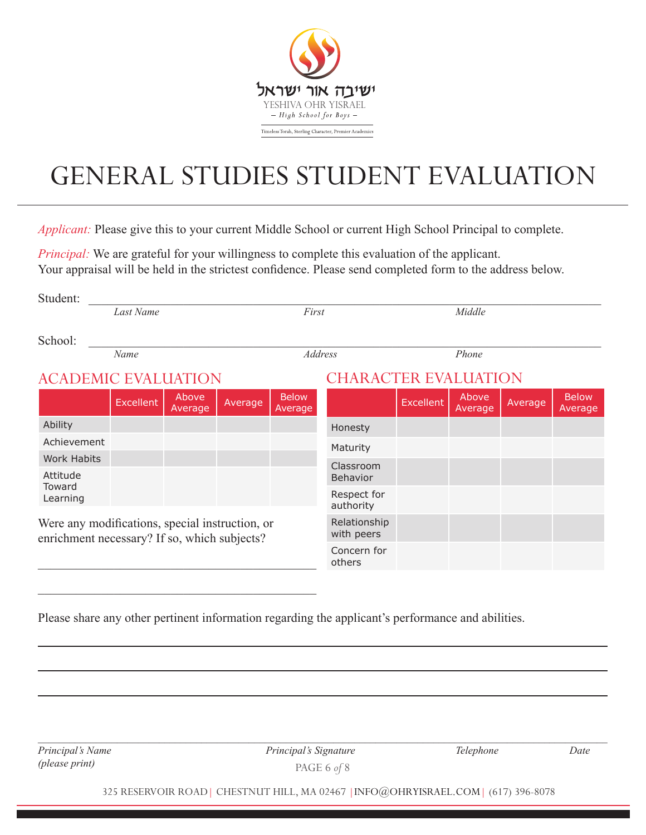

## GENERAL STUDIES STUDENT EVALUATION

*Applicant:* Please give this to your current Middle School or current High School Principal to complete.

*Principal:* We are grateful for your willingness to complete this evaluation of the applicant. Your appraisal will be held in the strictest confidence. Please send completed form to the address below.

| Student:                                                                                        |                  |                  |         |                         |                             |                  |                  |         |                         |  |  |
|-------------------------------------------------------------------------------------------------|------------------|------------------|---------|-------------------------|-----------------------------|------------------|------------------|---------|-------------------------|--|--|
|                                                                                                 | Last Name        |                  |         | First                   |                             | Middle           |                  |         |                         |  |  |
| School:                                                                                         | Name             |                  |         | <b>Address</b>          |                             | Phone            |                  |         |                         |  |  |
| <b>ACADEMIC EVALUATION</b>                                                                      |                  |                  |         |                         | <b>CHARACTER EVALUATION</b> |                  |                  |         |                         |  |  |
|                                                                                                 | <b>Excellent</b> | Above<br>Average | Average | <b>Below</b><br>Average |                             | <b>Excellent</b> | Above<br>Average | Average | <b>Below</b><br>Average |  |  |
| Ability                                                                                         |                  |                  |         |                         | Honesty                     |                  |                  |         |                         |  |  |
| Achievement                                                                                     |                  |                  |         |                         | Maturity                    |                  |                  |         |                         |  |  |
| <b>Work Habits</b>                                                                              |                  |                  |         |                         | Classroom                   |                  |                  |         |                         |  |  |
| Attitude                                                                                        |                  |                  |         |                         | <b>Behavior</b>             |                  |                  |         |                         |  |  |
| Toward<br>Learning                                                                              |                  |                  |         |                         | Respect for<br>authority    |                  |                  |         |                         |  |  |
| Were any modifications, special instruction, or<br>enrichment necessary? If so, which subjects? |                  |                  |         |                         | Relationship<br>with peers  |                  |                  |         |                         |  |  |
|                                                                                                 |                  |                  |         |                         | Concern for<br>others       |                  |                  |         |                         |  |  |
|                                                                                                 |                  |                  |         |                         |                             |                  |                  |         |                         |  |  |

Please share any other pertinent information regarding the applicant's performance and abilities.

 $\mathcal{L}_\mathcal{L}$  , which is a set of the set of the set of the set of the set of the set of the set of the set of the set of the set of the set of the set of the set of the set of the set of the set of the set of the set of

*(please print)*

PAGE 6 *of* 8 *Principal's Name Principal's Signature Telephone Date*

325 RESERVOIR ROAD| CHESTNUT HILL, MA 02467 |INFO@OHRYISRAEL.COM| (617) 396-8078

*\_\_\_\_\_\_\_\_\_\_\_\_\_\_\_\_\_\_\_\_\_\_\_\_\_\_\_\_\_\_\_\_\_\_\_\_\_\_\_\_\_\_\_\_\_\_\_\_\_\_\_\_\_\_\_\_\_\_\_\_\_\_\_\_\_\_\_\_\_\_\_\_\_\_\_\_\_\_\_\_\_\_\_\_\_\_\_\_\_\_\_\_\_\_\_\_\_\_\_\_\_\_\_\_\_\_\_\_*